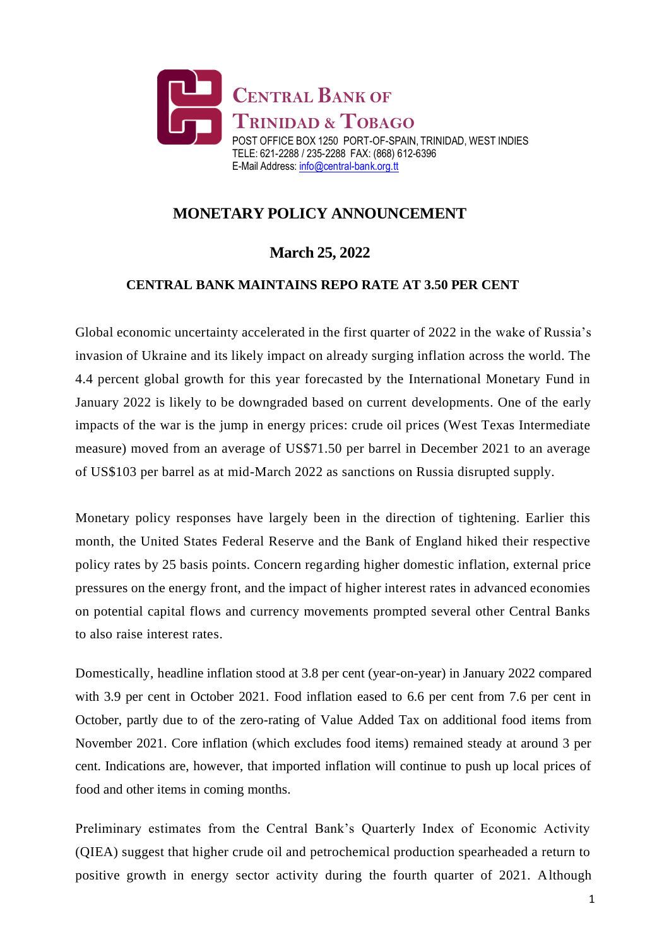

## **MONETARY POLICY ANNOUNCEMENT**

## **March 25, 2022**

## **CENTRAL BANK MAINTAINS REPO RATE AT 3.50 PER CENT**

Global economic uncertainty accelerated in the first quarter of 2022 in the wake of Russia's invasion of Ukraine and its likely impact on already surging inflation across the world. The 4.4 percent global growth for this year forecasted by the International Monetary Fund in January 2022 is likely to be downgraded based on current developments. One of the early impacts of the war is the jump in energy prices: crude oil prices (West Texas Intermediate measure) moved from an average of US\$71.50 per barrel in December 2021 to an average of US\$103 per barrel as at mid-March 2022 as sanctions on Russia disrupted supply.

Monetary policy responses have largely been in the direction of tightening. Earlier this month, the United States Federal Reserve and the Bank of England hiked their respective policy rates by 25 basis points. Concern regarding higher domestic inflation, external price pressures on the energy front, and the impact of higher interest rates in advanced economies on potential capital flows and currency movements prompted several other Central Banks to also raise interest rates.

Domestically, headline inflation stood at 3.8 per cent (year-on-year) in January 2022 compared with 3.9 per cent in October 2021. Food inflation eased to 6.6 per cent from 7.6 per cent in October, partly due to of the zero-rating of Value Added Tax on additional food items from November 2021. Core inflation (which excludes food items) remained steady at around 3 per cent. Indications are, however, that imported inflation will continue to push up local prices of food and other items in coming months.

Preliminary estimates from the Central Bank's Quarterly Index of Economic Activity (QIEA) suggest that higher crude oil and petrochemical production spearheaded a return to positive growth in energy sector activity during the fourth quarter of 2021. Although